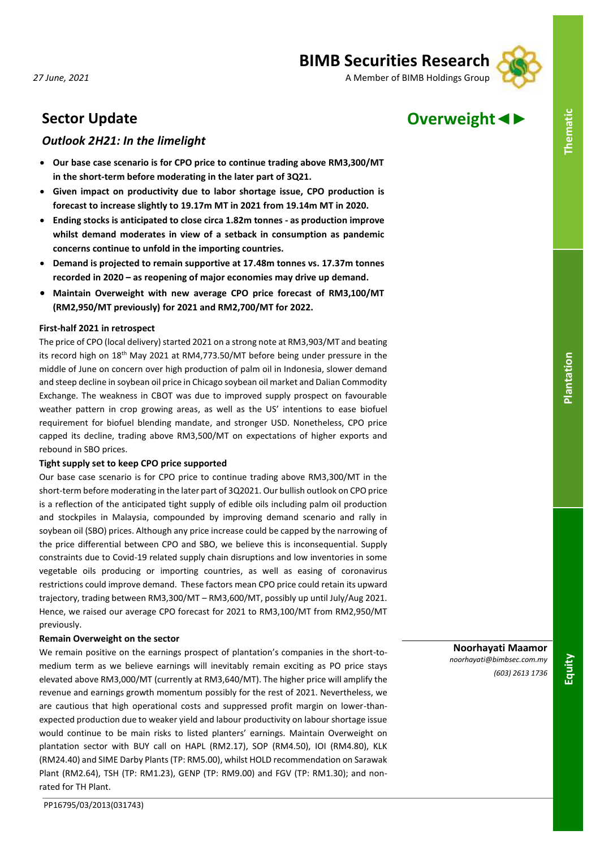# **BIMB Securities Research**

*27 June, 2021* A Member of BIMB Holdings Group



# **Sector Update Overweight◄►**

# *Outlook 2H21: In the limelight*

- **Our base case scenario is for CPO price to continue trading above RM3,300/MT in the short-term before moderating in the later part of 3Q21.**
- **Given impact on productivity due to labor shortage issue, CPO production is forecast to increase slightly to 19.17m MT in 2021 from 19.14m MT in 2020.**
- **Ending stocks is anticipated to close circa 1.82m tonnes - as production improve whilst demand moderates in view of a setback in consumption as pandemic concerns continue to unfold in the importing countries.**
- **Demand is projected to remain supportive at 17.48m tonnes vs. 17.37m tonnes recorded in 2020 – as reopening of major economies may drive up demand.**
- **Maintain Overweight with new average CPO price forecast of RM3,100/MT (RM2,950/MT previously) for 2021 and RM2,700/MT for 2022.**

# **First-half 2021 in retrospect**

The price of CPO (local delivery) started 2021 on a strong note at RM3,903/MT and beating its record high on  $18<sup>th</sup>$  May 2021 at RM4,773.50/MT before being under pressure in the middle of June on concern over high production of palm oil in Indonesia, slower demand and steep decline in soybean oil price in Chicago soybean oil market and Dalian Commodity Exchange. The weakness in CBOT was due to improved supply prospect on favourable weather pattern in crop growing areas, as well as the US' intentions to ease biofuel requirement for biofuel blending mandate, and stronger USD. Nonetheless, CPO price capped its decline, trading above RM3,500/MT on expectations of higher exports and rebound in SBO prices.

# **Tight supply set to keep CPO price supported**

Our base case scenario is for CPO price to continue trading above RM3,300/MT in the short-term before moderating in the later part of 3Q2021. Our bullish outlook on CPO price is a reflection of the anticipated tight supply of edible oils including palm oil production and stockpiles in Malaysia, compounded by improving demand scenario and rally in soybean oil (SBO) prices. Although any price increase could be capped by the narrowing of the price differential between CPO and SBO, we believe this is inconsequential. Supply constraints due to Covid-19 related supply chain disruptions and low inventories in some vegetable oils producing or importing countries, as well as easing of coronavirus restrictions could improve demand. These factors mean CPO price could retain its upward trajectory, trading between RM3,300/MT – RM3,600/MT, possibly up until July/Aug 2021. Hence, we raised our average CPO forecast for 2021 to RM3,100/MT from RM2,950/MT previously.

# **Remain Overweight on the sector**

We remain positive on the earnings prospect of plantation's companies in the short-tomedium term as we believe earnings will inevitably remain exciting as PO price stays elevated above RM3,000/MT (currently at RM3,640/MT). The higher price will amplify the revenue and earnings growth momentum possibly for the rest of 2021. Nevertheless, we are cautious that high operational costs and suppressed profit margin on lower-thanexpected production due to weaker yield and labour productivity on labour shortage issue would continue to be main risks to listed planters' earnings. Maintain Overweight on plantation sector with BUY call on HAPL (RM2.17), SOP (RM4.50), IOI (RM4.80), KLK (RM24.40) and SIME Darby Plants (TP: RM5.00), whilst HOLD recommendation on Sarawak Plant (RM2.64), TSH (TP: RM1.23), GENP (TP: RM9.00) and FGV (TP: RM1.30); and nonrated for TH Plant.

**Noorhayati Maamor** *noorhayati@bimbsec.com.my (603) 2613 1736*

**Equity**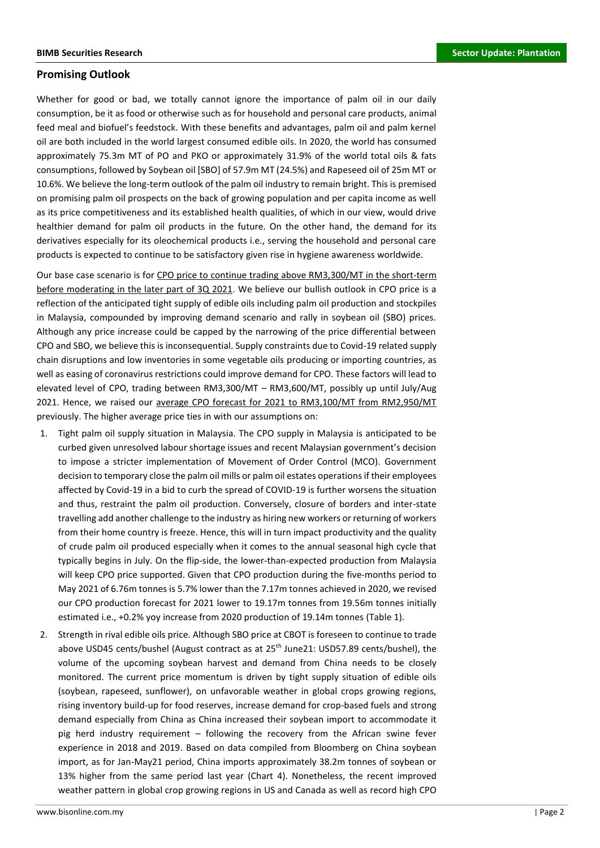# **Promising Outlook**

Whether for good or bad, we totally cannot ignore the importance of palm oil in our daily consumption, be it as food or otherwise such as for household and personal care products, animal feed meal and biofuel's feedstock. With these benefits and advantages, palm oil and palm kernel oil are both included in the world largest consumed edible oils. In 2020, the world has consumed approximately 75.3m MT of PO and PKO or approximately 31.9% of the world total oils & fats consumptions, followed by Soybean oil [SBO] of 57.9m MT (24.5%) and Rapeseed oil of 25m MT or 10.6%. We believe the long-term outlook of the palm oil industry to remain bright. This is premised on promising palm oil prospects on the back of growing population and per capita income as well as its price competitiveness and its established health qualities, of which in our view, would drive healthier demand for palm oil products in the future. On the other hand, the demand for its derivatives especially for its oleochemical products i.e., serving the household and personal care products is expected to continue to be satisfactory given rise in hygiene awareness worldwide.

Our base case scenario is for CPO price to continue trading above RM3,300/MT in the short-term before moderating in the later part of 3Q 2021. We believe our bullish outlook in CPO price is a reflection of the anticipated tight supply of edible oils including palm oil production and stockpiles in Malaysia, compounded by improving demand scenario and rally in soybean oil (SBO) prices. Although any price increase could be capped by the narrowing of the price differential between CPO and SBO, we believe this is inconsequential. Supply constraints due to Covid-19 related supply chain disruptions and low inventories in some vegetable oils producing or importing countries, as well as easing of coronavirus restrictions could improve demand for CPO. These factors will lead to elevated level of CPO, trading between RM3,300/MT – RM3,600/MT, possibly up until July/Aug 2021. Hence, we raised our average CPO forecast for 2021 to RM3,100/MT from RM2,950/MT previously. The higher average price ties in with our assumptions on:

- 1. Tight palm oil supply situation in Malaysia. The CPO supply in Malaysia is anticipated to be curbed given unresolved labour shortage issues and recent Malaysian government's decision to impose a stricter implementation of Movement of Order Control (MCO). Government decision to temporary close the palm oil mills or palm oil estates operations if their employees affected by Covid-19 in a bid to curb the spread of COVID-19 is further worsens the situation and thus, restraint the palm oil production. Conversely, closure of borders and inter-state travelling add another challenge to the industry as hiring new workers or returning of workers from their home country is freeze. Hence, this will in turn impact productivity and the quality of crude palm oil produced especially when it comes to the annual seasonal high cycle that typically begins in July. On the flip-side, the lower-than-expected production from Malaysia will keep CPO price supported. Given that CPO production during the five-months period to May 2021 of 6.76m tonnes is 5.7% lower than the 7.17m tonnes achieved in 2020, we revised our CPO production forecast for 2021 lower to 19.17m tonnes from 19.56m tonnes initially estimated i.e., +0.2% yoy increase from 2020 production of 19.14m tonnes (Table 1).
- 2. Strength in rival edible oils price. Although SBO price at CBOT is foreseen to continue to trade above USD45 cents/bushel (August contract as at 25<sup>th</sup> June21: USD57.89 cents/bushel), the volume of the upcoming soybean harvest and demand from China needs to be closely monitored. The current price momentum is driven by tight supply situation of edible oils (soybean, rapeseed, sunflower), on unfavorable weather in global crops growing regions, rising inventory build-up for food reserves, increase demand for crop-based fuels and strong demand especially from China as China increased their soybean import to accommodate it pig herd industry requirement – following the recovery from the African swine fever experience in 2018 and 2019. Based on data compiled from Bloomberg on China soybean import, as for Jan-May21 period, China imports approximately 38.2m tonnes of soybean or 13% higher from the same period last year (Chart 4). Nonetheless, the recent improved weather pattern in global crop growing regions in US and Canada as well as record high CPO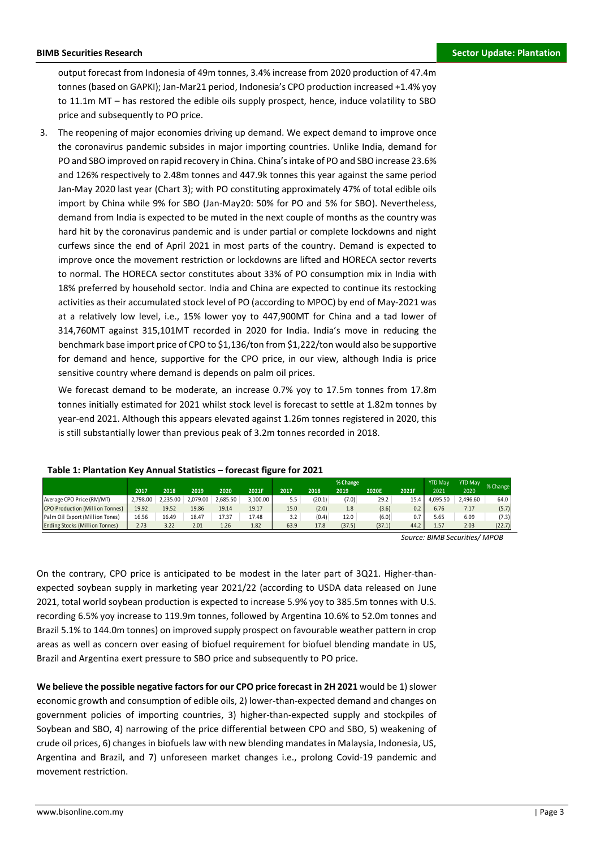output forecast from Indonesia of 49m tonnes, 3.4% increase from 2020 production of 47.4m tonnes (based on GAPKI); Jan-Mar21 period, Indonesia's CPO production increased +1.4% yoy to 11.1m MT – has restored the edible oils supply prospect, hence, induce volatility to SBO price and subsequently to PO price.

3. The reopening of major economies driving up demand. We expect demand to improve once the coronavirus pandemic subsides in major importing countries. Unlike India, demand for PO and SBO improved on rapid recovery in China. China's intake of PO and SBO increase 23.6% and 126% respectively to 2.48m tonnes and 447.9k tonnes this year against the same period Jan-May 2020 last year (Chart 3); with PO constituting approximately 47% of total edible oils import by China while 9% for SBO (Jan-May20: 50% for PO and 5% for SBO). Nevertheless, demand from India is expected to be muted in the next couple of months as the country was hard hit by the coronavirus pandemic and is under partial or complete lockdowns and night curfews since the end of April 2021 in most parts of the country. Demand is expected to improve once the movement restriction or lockdowns are lifted and HORECA sector reverts to normal. The HORECA sector constitutes about 33% of PO consumption mix in India with 18% preferred by household sector. India and China are expected to continue its restocking activities as their accumulated stock level of PO (according to MPOC) by end of May-2021 was at a relatively low level, i.e., 15% lower yoy to 447,900MT for China and a tad lower of 314,760MT against 315,101MT recorded in 2020 for India. India's move in reducing the benchmark base import price of CPO to \$1,136/ton from \$1,222/ton would also be supportive for demand and hence, supportive for the CPO price, in our view, although India is price sensitive country where demand is depends on palm oil prices.

We forecast demand to be moderate, an increase 0.7% yoy to 17.5m tonnes from 17.8m tonnes initially estimated for 2021 whilst stock level is forecast to settle at 1.82m tonnes by year-end 2021. Although this appears elevated against 1.26m tonnes registered in 2020, this is still substantially lower than previous peak of 3.2m tonnes recorded in 2018.

|                                       |          |          |          |          |          |      |        | % Change |        |       | <b>YTD May</b> | <b>YTD Mav</b> | % Change |
|---------------------------------------|----------|----------|----------|----------|----------|------|--------|----------|--------|-------|----------------|----------------|----------|
|                                       | 2017     | 2018     | 2019     | 2020     | 2021F    | 2017 | 2018   | 2019     | 2020E  | 2021F | 2021           | 2020           |          |
| Average CPO Price (RM/MT)             | 2.798.00 | 2.235.00 | 2.079.00 | 2.685.50 | 3.100.00 | 5.5  | (20.1) | (7.0)    | 29.2   | 15.4  | 4.095.50       | 2,496.60       | 64.0     |
| CPO Production (Million Tonnes)       | 19.92    | 19.52    | 19.86    | 19.14    | 19.17    | 15.0 | (2.0)  | 1.8      | (3.6)  | 0.2   | 6.76           | 7.17           | (5.7)    |
| Palm Oil Export (Million Tones)       | 16.56    | 16.49    | 18.47    | 17.37    | 17.48    | 3.2  | (0.4)  | 12.0     | (6.0)  | 0.7   | 5.65           | 6.09           | (7.3)    |
| <b>Ending Stocks (Million Tonnes)</b> | 2.73     | 3.22     | 2.01     | 1.26     | 1.82     | 63.9 | 17.8   | (37.5)   | (37.1) | 44.2  | 1.57           | 2.03           | (22.7)   |

# **Table 1: Plantation Key Annual Statistics – forecast figure for 2021**

*Source: BIMB Securities/ MPOB*

On the contrary, CPO price is anticipated to be modest in the later part of 3Q21. Higher-thanexpected soybean supply in marketing year 2021/22 (according to USDA data released on June 2021, total world soybean production is expected to increase 5.9% yoy to 385.5m tonnes with U.S. recording 6.5% yoy increase to 119.9m tonnes, followed by Argentina 10.6% to 52.0m tonnes and Brazil 5.1% to 144.0m tonnes) on improved supply prospect on favourable weather pattern in crop areas as well as concern over easing of biofuel requirement for biofuel blending mandate in US, Brazil and Argentina exert pressure to SBO price and subsequently to PO price.

**We believe the possible negative factors for our CPO price forecast in 2H 2021** would be 1) slower economic growth and consumption of edible oils, 2) lower-than-expected demand and changes on government policies of importing countries, 3) higher-than-expected supply and stockpiles of Soybean and SBO, 4) narrowing of the price differential between CPO and SBO, 5) weakening of crude oil prices, 6) changes in biofuels law with new blending mandates in Malaysia, Indonesia, US, Argentina and Brazil, and 7) unforeseen market changes i.e., prolong Covid-19 pandemic and movement restriction.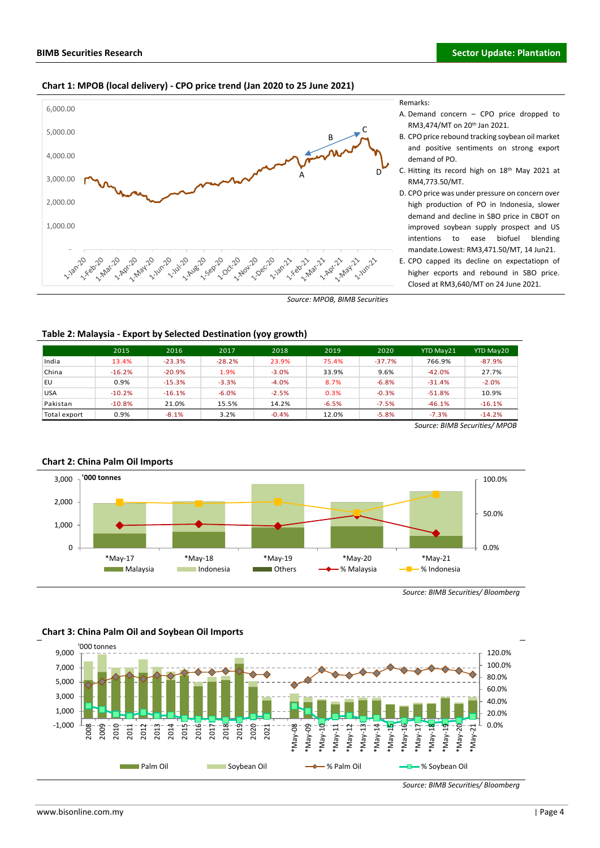1-18 A-20

11/2010

2-20 2-20

1-180-1-19

1-10 AV-120

1,000.00

2,000.00

3,000.00

4,000.00

5,000.00

6,000.00





- A. Demand concern CPO price dropped to RM3,474/MT on 20th Jan 2021.
- B. CPO price rebound tracking soybean oil market and positive sentiments on strong export demand of PO.
- C. Hitting its record high on 18th May 2021 at RM4,773.50/MT.
- D. CPO price was under pressure on concern over high production of PO in Indonesia, slower demand and decline in SBO price in CBOT on improved soybean supply prospect and US intentions to ease biofuel blending mandate.Lowest: RM3,471.50/MT, 14 Jun21.
- E. CPO capped its decline on expectatiopn of higher ecports and rebound in SBO price. Closed at RM3,640/MT on 24 June 2021.

*Source: MPOB, BIMB Securities*

1-23 - 23 **22 Jun22** 

A

**12-2022** 

**0-2-1-01-2 IVARY** 

 $\hat{v}$ 

B

C

D

### **Table 2: Malaysia - Export by Selected Destination (yoy growth)**

**210-21-21-22** 

120 - 120

1-20 1-20 11/2 02/10

120 - 120

11/2 21/2

1-20 ec.20

**11/** 2011

|              | 2015     | 2016     | 2017     | 2018    | 2019    | 2020     | <b>YTD May21</b> | YTD May20 |
|--------------|----------|----------|----------|---------|---------|----------|------------------|-----------|
| India        | 13.4%    | $-23.3%$ | $-28.2%$ | 23.9%   | 75.4%   | $-37.7%$ | 766.9%           | $-87.9%$  |
| China        | $-16.2%$ | $-20.9%$ | 1.9%     | $-3.0%$ | 33.9%   | 9.6%     | $-42.0%$         | 27.7%     |
| EU           | 0.9%     | $-15.3%$ | $-3.3%$  | $-4.0%$ | 8.7%    | $-6.8%$  | $-31.4%$         | $-2.0%$   |
| <b>USA</b>   | $-10.2%$ | $-16.1%$ | $-6.0%$  | $-2.5%$ | 0.3%    | $-0.3%$  | $-51.8%$         | 10.9%     |
| Pakistan     | $-10.8%$ | 21.0%    | 15.5%    | 14.2%   | $-6.5%$ | $-7.5%$  | $-46.1%$         | $-16.1%$  |
| Total export | 0.9%     | $-8.1%$  | 3.2%     | $-0.4%$ | 12.0%   | $-5.8%$  | $-7.3%$          | $-14.2%$  |

*Source: BIMB Securities/ MPOB*



# **Chart 2: China Palm Oil Imports**

*Source: BIMB Securities/ Bloomberg*

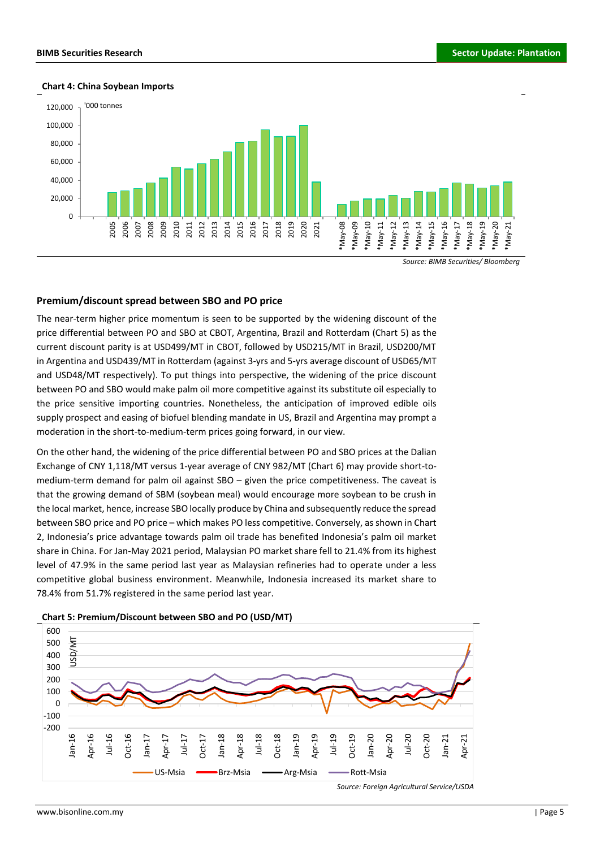#### **Chart 4: China Soybean Imports**



*Source: BIMB Securities/ Bloomberg*

#### **Premium/discount spread between SBO and PO price**

The near-term higher price momentum is seen to be supported by the widening discount of the price differential between PO and SBO at CBOT, Argentina, Brazil and Rotterdam (Chart 5) as the current discount parity is at USD499/MT in CBOT, followed by USD215/MT in Brazil, USD200/MT in Argentina and USD439/MT in Rotterdam (against 3-yrs and 5-yrs average discount of USD65/MT and USD48/MT respectively). To put things into perspective, the widening of the price discount between PO and SBO would make palm oil more competitive against its substitute oil especially to the price sensitive importing countries. Nonetheless, the anticipation of improved edible oils supply prospect and easing of biofuel blending mandate in US, Brazil and Argentina may prompt a moderation in the short-to-medium-term prices going forward, in our view.

On the other hand, the widening of the price differential between PO and SBO prices at the Dalian Exchange of CNY 1,118/MT versus 1-year average of CNY 982/MT (Chart 6) may provide short-tomedium-term demand for palm oil against SBO – given the price competitiveness. The caveat is that the growing demand of SBM (soybean meal) would encourage more soybean to be crush in the local market, hence, increase SBO locally produce by China and subsequently reduce the spread between SBO price and PO price – which makes PO less competitive. Conversely, as shown in Chart 2, Indonesia's price advantage towards palm oil trade has benefited Indonesia's palm oil market share in China. For Jan-May 2021 period, Malaysian PO market share fell to 21.4% from its highest level of 47.9% in the same period last year as Malaysian refineries had to operate under a less competitive global business environment. Meanwhile, Indonesia increased its market share to 78.4% from 51.7% registered in the same period last year.



#### **Chart 5: Premium/Discount between SBO and PO (USD/MT)**

*Source: Foreign Agricultural Service/USDA*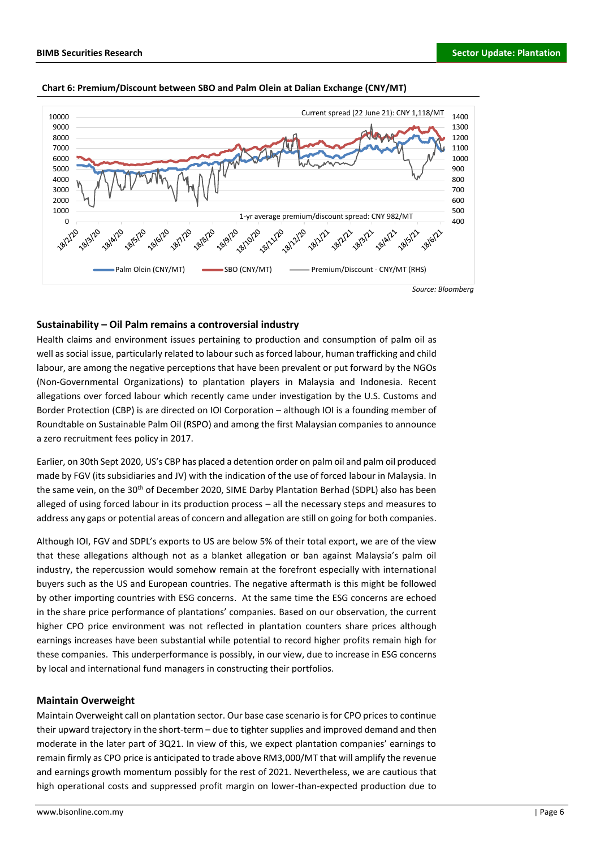

#### **Chart 6: Premium/Discount between SBO and Palm Olein at Dalian Exchange (CNY/MT)**

# **Sustainability – Oil Palm remains a controversial industry**

Health claims and environment issues pertaining to production and consumption of palm oil as well as social issue, particularly related to labour such as forced labour, human trafficking and child labour, are among the negative perceptions that have been prevalent or put forward by the NGOs (Non-Governmental Organizations) to plantation players in Malaysia and Indonesia. Recent allegations over forced labour which recently came under investigation by the U.S. Customs and Border Protection (CBP) is are directed on IOI Corporation – although IOI is a founding member of Roundtable on Sustainable Palm Oil (RSPO) and among the first Malaysian companies to announce a zero recruitment fees policy in 2017.

Earlier, on 30th Sept 2020, US's CBP has placed a detention order on palm oil and palm oil produced made by FGV (its subsidiaries and JV) with the indication of the use of forced labour in Malaysia. In the same vein, on the 30<sup>th</sup> of December 2020, SIME Darby Plantation Berhad (SDPL) also has been alleged of using forced labour in its production process – all the necessary steps and measures to address any gaps or potential areas of concern and allegation are still on going for both companies.

Although IOI, FGV and SDPL's exports to US are below 5% of their total export, we are of the view that these allegations although not as a blanket allegation or ban against Malaysia's palm oil industry, the repercussion would somehow remain at the forefront especially with international buyers such as the US and European countries. The negative aftermath is this might be followed by other importing countries with ESG concerns. At the same time the ESG concerns are echoed in the share price performance of plantations' companies. Based on our observation, the current higher CPO price environment was not reflected in plantation counters share prices although earnings increases have been substantial while potential to record higher profits remain high for these companies. This underperformance is possibly, in our view, due to increase in ESG concerns by local and international fund managers in constructing their portfolios.

## **Maintain Overweight**

Maintain Overweight call on plantation sector. Our base case scenario is for CPO prices to continue their upward trajectory in the short-term – due to tighter supplies and improved demand and then moderate in the later part of 3Q21. In view of this, we expect plantation companies' earnings to remain firmly as CPO price is anticipated to trade above RM3,000/MT that will amplify the revenue and earnings growth momentum possibly for the rest of 2021. Nevertheless, we are cautious that high operational costs and suppressed profit margin on lower-than-expected production due to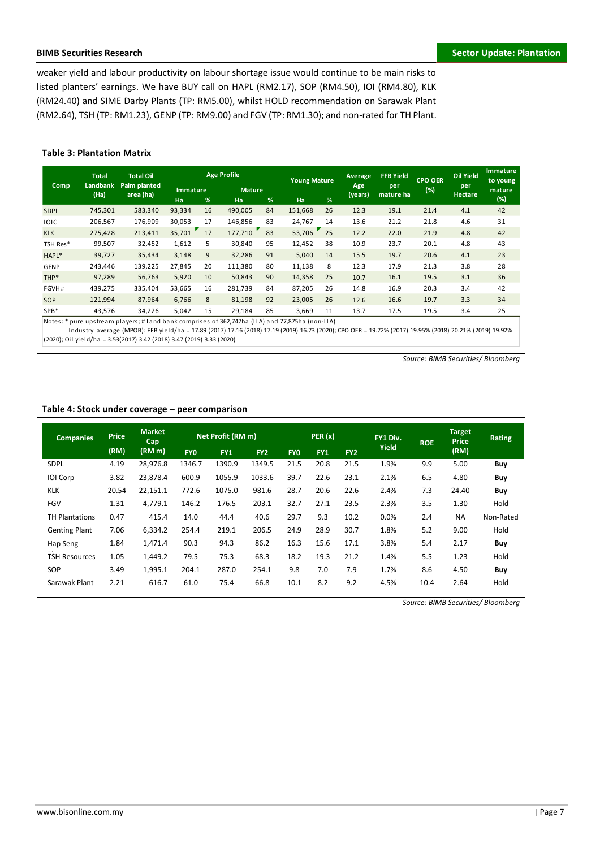weaker yield and labour productivity on labour shortage issue would continue to be main risks to listed planters' earnings. We have BUY call on HAPL (RM2.17), SOP (RM4.50), IOI (RM4.80), KLK (RM24.40) and SIME Darby Plants (TP: RM5.00), whilst HOLD recommendation on Sarawak Plant (RM2.64), TSH (TP: RM1.23), GENP (TP: RM9.00) and FGV (TP: RM1.30); and non-rated for TH Plant.

## **Table 3: Plantation Matrix**

| Comp        | <b>Total</b><br><b>Landbank</b> | <b>Total Oil</b><br>Palm planted                                                                | <b>Age Profile</b>           |    |                     |    | <b>Young Mature</b> |    | Average<br>Age | <b>FFB Yield</b><br>per | <b>CPO OER</b> | <b>Oil Yield</b><br>per | <b>Immature</b><br>to young |
|-------------|---------------------------------|-------------------------------------------------------------------------------------------------|------------------------------|----|---------------------|----|---------------------|----|----------------|-------------------------|----------------|-------------------------|-----------------------------|
|             | (Ha)                            | area (ha)                                                                                       | <b>Immature</b><br><b>Ha</b> | %  | <b>Mature</b><br>Ha | %  | Ha                  | %  | (years)        | mature ha               | (%)            | <b>Hectare</b>          | mature<br>(%)               |
| <b>SDPL</b> | 745,301                         | 583,340                                                                                         | 93,334                       | 16 | 490,005             | 84 | 151,668             | 26 | 12.3           | 19.1                    | 21.4           | 4.1                     | 42                          |
| <b>IOIC</b> | 206,567                         | 176,909                                                                                         | 30,053                       | 17 | 146,856             | 83 | 24,767              | 14 | 13.6           | 21.2                    | 21.8           | 4.6                     | 31                          |
| <b>KLK</b>  | 275,428                         | 213,411                                                                                         | 35,701                       | 17 | 177,710             | 83 | 53,706              | 25 | 12.2           | 22.0                    | 21.9           | 4.8                     | 42                          |
| TSH Res*    | 99,507                          | 32,452                                                                                          | 1,612                        | 5  | 30,840              | 95 | 12,452              | 38 | 10.9           | 23.7                    | 20.1           | 4.8                     | 43                          |
| HAPL*       | 39,727                          | 35,434                                                                                          | 3,148                        | 9  | 32,286              | 91 | 5,040               | 14 | 15.5           | 19.7                    | 20.6           | 4.1                     | 23                          |
| <b>GENP</b> | 243,446                         | 139,225                                                                                         | 27,845                       | 20 | 111,380             | 80 | 11,138              | 8  | 12.3           | 17.9                    | 21.3           | 3.8                     | 28                          |
| THP*        | 97,289                          | 56,763                                                                                          | 5,920                        | 10 | 50,843              | 90 | 14,358              | 25 | 10.7           | 16.1                    | 19.5           | 3.1                     | 36                          |
| FGVH#       | 439.275                         | 335,404                                                                                         | 53,665                       | 16 | 281,739             | 84 | 87,205              | 26 | 14.8           | 16.9                    | 20.3           | 3.4                     | 42                          |
| <b>SOP</b>  | 121,994                         | 87,964                                                                                          | 6,766                        | 8  | 81,198              | 92 | 23,005              | 26 | 12.6           | 16.6                    | 19.7           | 3.3                     | 34                          |
| SPB*        | 43,576                          | 34,226                                                                                          | 5,042                        | 15 | 29,184              | 85 | 3,669               | 11 | 13.7           | 17.5                    | 19.5           | 3.4                     | 25                          |
|             |                                 | Notes: * pure upstream players: # Land bank comprises of 362.747ha (LLA) and 77.875ha (non-LLA) |                              |    |                     |    |                     |    |                |                         |                |                         |                             |

Notes: \* pure upstream players; # Land bank comprises of 362,747ha (LLA) and 77,875ha (non-LLA)

 I ndus try a ve ra ge (MPOB): FFB yi e l d/ha = 17.89 (2017) 17.16 (2018) 17.19 (2019) 16.73 (2020); CPO OER = 19.72% (2017) 19.95% (2018) 20.21% (2019) 19.92% (2020); Oil yield/ha = 3.53(2017) 3.42 (2018) 3.47 (2019) 3.33 (2020)

*Source: BIMB Securities/ Bloomberg*

# **Table 4: Stock under coverage – peer comparison**

| <b>Companies</b>      | <b>Price</b> | <b>Market</b><br>Cap | Net Profit (RM m) |        |                 |            | PER(x)     |                 | FY1 Div. | <b>ROE</b> | <b>Target</b><br><b>Price</b> | <b>Rating</b> |
|-----------------------|--------------|----------------------|-------------------|--------|-----------------|------------|------------|-----------------|----------|------------|-------------------------------|---------------|
|                       | (RM)         | (RM m)               | <b>FYO</b>        | FY1    | FY <sub>2</sub> | <b>FYO</b> | <b>FY1</b> | FY <sub>2</sub> | Yield    |            | (RM)                          |               |
| <b>SDPL</b>           | 4.19         | 28,976.8             | 1346.7            | 1390.9 | 1349.5          | 21.5       | 20.8       | 21.5            | 1.9%     | 9.9        | 5.00                          | Buy           |
| <b>IOI</b> Corp       | 3.82         | 23,878.4             | 600.9             | 1055.9 | 1033.6          | 39.7       | 22.6       | 23.1            | 2.1%     | 6.5        | 4.80                          | Buy           |
| <b>KLK</b>            | 20.54        | 22,151.1             | 772.6             | 1075.0 | 981.6           | 28.7       | 20.6       | 22.6            | 2.4%     | 7.3        | 24.40                         | Buy           |
| <b>FGV</b>            | 1.31         | 4,779.1              | 146.2             | 176.5  | 203.1           | 32.7       | 27.1       | 23.5            | 2.3%     | 3.5        | 1.30                          | Hold          |
| <b>TH Plantations</b> | 0.47         | 415.4                | 14.0              | 44.4   | 40.6            | 29.7       | 9.3        | 10.2            | 0.0%     | 2.4        | <b>NA</b>                     | Non-Rated     |
| <b>Genting Plant</b>  | 7.06         | 6.334.2              | 254.4             | 219.1  | 206.5           | 24.9       | 28.9       | 30.7            | 1.8%     | 5.2        | 9.00                          | Hold          |
| Hap Seng              | 1.84         | 1,471.4              | 90.3              | 94.3   | 86.2            | 16.3       | 15.6       | 17.1            | 3.8%     | 5.4        | 2.17                          | Buy           |
| <b>TSH Resources</b>  | 1.05         | 1,449.2              | 79.5              | 75.3   | 68.3            | 18.2       | 19.3       | 21.2            | 1.4%     | 5.5        | 1.23                          | Hold          |
| SOP                   | 3.49         | 1,995.1              | 204.1             | 287.0  | 254.1           | 9.8        | 7.0        | 7.9             | 1.7%     | 8.6        | 4.50                          | Buy           |
| Sarawak Plant         | 2.21         | 616.7                | 61.0              | 75.4   | 66.8            | 10.1       | 8.2        | 9.2             | 4.5%     | 10.4       | 2.64                          | Hold          |

*Source: BIMB Securities/ Bloomberg*